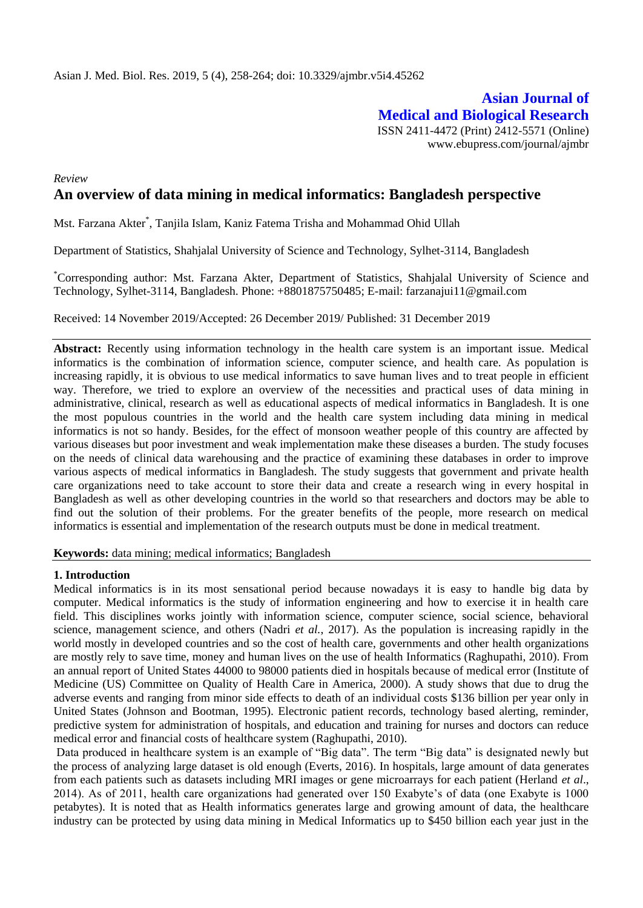**Asian Journal of Medical and Biological Research** ISSN 2411-4472 (Print) 2412-5571 (Online) www.ebupress.com/journal/ajmbr

# *Review* **An overview of data mining in medical informatics: Bangladesh perspective**

Mst. Farzana Akter\* , Tanjila Islam, Kaniz Fatema Trisha and Mohammad Ohid Ullah

Department of Statistics, Shahjalal University of Science and Technology, Sylhet-3114, Bangladesh

\*Corresponding author: Mst. Farzana Akter, Department of Statistics, Shahjalal University of Science and Technology, Sylhet-3114, Bangladesh. Phone: +8801875750485; E-mail: [farzanajui11@gmail.com](mailto:farzanajui11@gmail.com)

Received: 14 November 2019/Accepted: 26 December 2019/ Published: 31 December 2019

**Abstract:** Recently using information technology in the health care system is an important issue. Medical informatics is the combination of information science, computer science, and health care. As population is increasing rapidly, it is obvious to use medical informatics to save human lives and to treat people in efficient way. Therefore, we tried to explore an overview of the necessities and practical uses of data mining in administrative, clinical, research as well as educational aspects of medical informatics in Bangladesh. It is one the most populous countries in the world and the health care system including data mining in medical informatics is not so handy. Besides, for the effect of monsoon weather people of this country are affected by various diseases but poor investment and weak implementation make these diseases a burden. The study focuses on the needs of clinical data warehousing and the practice of examining these databases in order to improve various aspects of medical informatics in Bangladesh. The study suggests that government and private health care organizations need to take account to store their data and create a research wing in every hospital in Bangladesh as well as other developing countries in the world so that researchers and doctors may be able to find out the solution of their problems. For the greater benefits of the people, more research on medical informatics is essential and implementation of the research outputs must be done in medical treatment.

**Keywords:** data mining; medical informatics; Bangladesh

### **1. Introduction**

Medical informatics is in its most sensational period because nowadays it is easy to handle big data by computer. Medical informatics is the study of information engineering and how to exercise it in health care field. This disciplines works jointly with information science, computer science, social science, behavioral science, management science, and others (Nadri *et al.*, 2017). As the population is increasing rapidly in the world mostly in developed countries and so the cost of health care, governments and other health organizations are mostly rely to save time, money and human lives on the use of health Informatics (Raghupathi, 2010). From an annual report of United States 44000 to 98000 patients died in hospitals because of medical error (Institute of Medicine (US) Committee on Quality of Health Care in America, 2000). A study shows that due to drug the adverse events and ranging from minor side effects to death of an individual costs \$136 billion per year only in United States (Johnson and Bootman, 1995). Electronic patient records, technology based alerting, reminder, predictive system for administration of hospitals, and education and training for nurses and doctors can reduce medical error and financial costs of healthcare system (Raghupathi, 2010).

Data produced in healthcare system is an example of "Big data". The term "Big data" is designated newly but the process of analyzing large dataset is old enough (Everts, 2016). In hospitals, large amount of data generates from each patients such as datasets including MRI images or gene microarrays for each patient (Herland *et al*., 2014). As of 2011, health care organizations had generated over 150 Exabyte's of data (one Exabyte is 1000 petabytes). It is noted that as Health informatics generates large and growing amount of data, the healthcare industry can be protected by using data mining in Medical Informatics up to \$450 billion each year just in the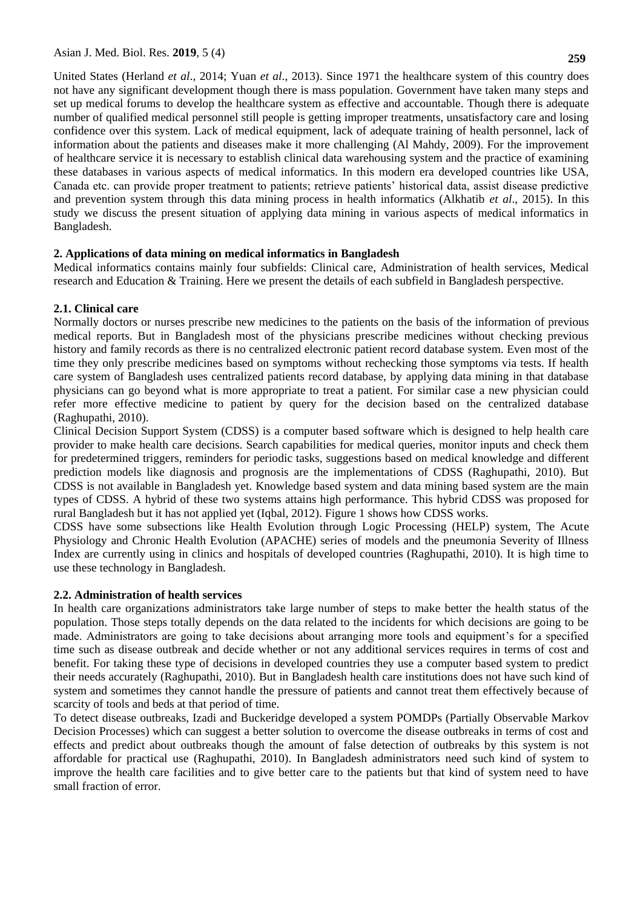United States (Herland *et al*., 2014; Yuan *et al*., 2013). Since 1971 the healthcare system of this country does not have any significant development though there is mass population. Government have taken many steps and set up medical forums to develop the healthcare system as effective and accountable. Though there is adequate number of qualified medical personnel still people is getting improper treatments, unsatisfactory care and losing confidence over this system. Lack of medical equipment, lack of adequate training of health personnel, lack of information about the patients and diseases make it more challenging (Al Mahdy, 2009). For the improvement of healthcare service it is necessary to establish clinical data warehousing system and the practice of examining these databases in various aspects of medical informatics. In this modern era developed countries like USA, Canada etc. can provide proper treatment to patients; retrieve patients' historical data, assist disease predictive and prevention system through this data mining process in health informatics (Alkhatib *et al*., 2015). In this study we discuss the present situation of applying data mining in various aspects of medical informatics in Bangladesh.

### **2. Applications of data mining on medical informatics in Bangladesh**

Medical informatics contains mainly four subfields: Clinical care, Administration of health services, Medical research and Education & Training. Here we present the details of each subfield in Bangladesh perspective.

### **2.1. Clinical care**

Normally doctors or nurses prescribe new medicines to the patients on the basis of the information of previous medical reports. But in Bangladesh most of the physicians prescribe medicines without checking previous history and family records as there is no centralized electronic patient record database system. Even most of the time they only prescribe medicines based on symptoms without rechecking those symptoms via tests. If health care system of Bangladesh uses centralized patients record database, by applying data mining in that database physicians can go beyond what is more appropriate to treat a patient. For similar case a new physician could refer more effective medicine to patient by query for the decision based on the centralized database (Raghupathi, 2010).

Clinical Decision Support System (CDSS) is a computer based software which is designed to help health care provider to make health care decisions. Search capabilities for medical queries, monitor inputs and check them for predetermined triggers, reminders for periodic tasks, suggestions based on medical knowledge and different prediction models like diagnosis and prognosis are the implementations of CDSS (Raghupathi, 2010). But CDSS is not available in Bangladesh yet. Knowledge based system and data mining based system are the main types of CDSS. A hybrid of these two systems attains high performance. This hybrid CDSS was proposed for rural Bangladesh but it has not applied yet (Iqbal, 2012). Figure 1 shows how CDSS works.

CDSS have some subsections like Health Evolution through Logic Processing (HELP) system, The Acute Physiology and Chronic Health Evolution (APACHE) series of models and the pneumonia Severity of Illness Index are currently using in clinics and hospitals of developed countries (Raghupathi, 2010). It is high time to use these technology in Bangladesh.

### **2.2. Administration of health services**

In health care organizations administrators take large number of steps to make better the health status of the population. Those steps totally depends on the data related to the incidents for which decisions are going to be made. Administrators are going to take decisions about arranging more tools and equipment's for a specified time such as disease outbreak and decide whether or not any additional services requires in terms of cost and benefit. For taking these type of decisions in developed countries they use a computer based system to predict their needs accurately (Raghupathi, 2010). But in Bangladesh health care institutions does not have such kind of system and sometimes they cannot handle the pressure of patients and cannot treat them effectively because of scarcity of tools and beds at that period of time.

To detect disease outbreaks, Izadi and Buckeridge developed a system POMDPs (Partially Observable Markov Decision Processes) which can suggest a better solution to overcome the disease outbreaks in terms of cost and effects and predict about outbreaks though the amount of false detection of outbreaks by this system is not affordable for practical use (Raghupathi, 2010). In Bangladesh administrators need such kind of system to improve the health care facilities and to give better care to the patients but that kind of system need to have small fraction of error.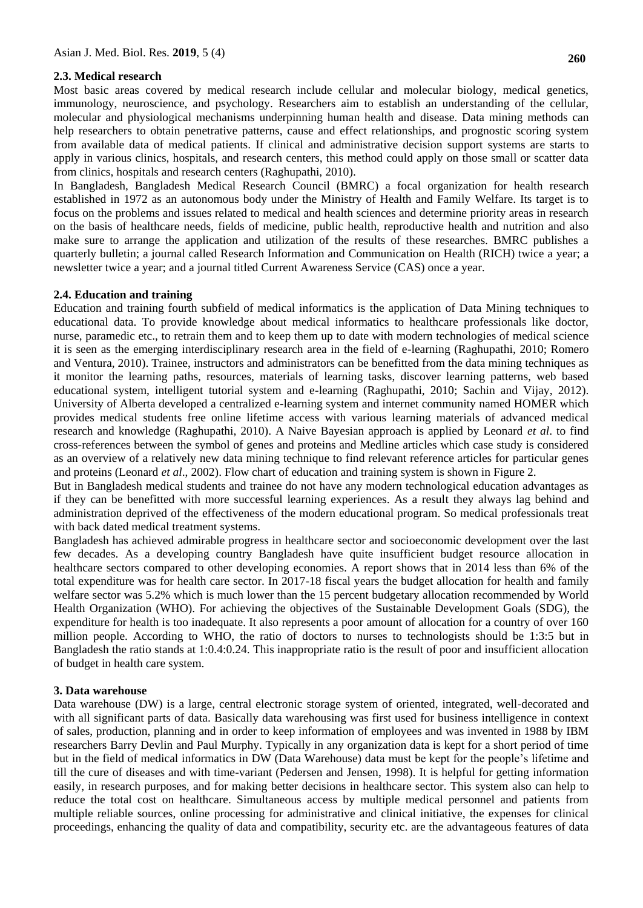### **2.3. Medical research**

Most basic areas covered by medical research include cellular and molecular biology, medical genetics, immunology, neuroscience, and psychology. Researchers aim to establish an understanding of the cellular, molecular and physiological mechanisms underpinning human health and disease. Data mining methods can help researchers to obtain penetrative patterns, cause and effect relationships, and prognostic scoring system from available data of medical patients. If clinical and administrative decision support systems are starts to apply in various clinics, hospitals, and research centers, this method could apply on those small or scatter data from clinics, hospitals and research centers (Raghupathi, 2010).

In Bangladesh, Bangladesh Medical Research Council (BMRC) a focal organization for health research established in 1972 as an autonomous body under the Ministry of Health and Family Welfare. Its target is to focus on the problems and issues related to medical and health sciences and determine priority areas in research on the basis of healthcare needs, fields of medicine, public health, reproductive health and nutrition and also make sure to arrange the application and utilization of the results of these researches. BMRC publishes a quarterly bulletin; a journal called Research Information and Communication on Health (RICH) twice a year; a newsletter twice a year; and a journal titled Current Awareness Service (CAS) once a year.

### **2.4. Education and training**

Education and training fourth subfield of medical informatics is the application of Data Mining techniques to educational data. To provide knowledge about medical informatics to healthcare professionals like doctor, nurse, paramedic etc., to retrain them and to keep them up to date with modern technologies of medical science it is seen as the emerging interdisciplinary research area in the field of e-learning (Raghupathi, 2010; Romero and Ventura, 2010). Trainee, instructors and administrators can be benefitted from the data mining techniques as it monitor the learning paths, resources, materials of learning tasks, discover learning patterns, web based educational system, intelligent tutorial system and e-learning (Raghupathi, 2010; Sachin and Vijay, 2012). University of Alberta developed a centralized e-learning system and internet community named HOMER which provides medical students free online lifetime access with various learning materials of advanced medical research and knowledge (Raghupathi, 2010). A Naive Bayesian approach is applied by Leonard *et al*. to find cross-references between the symbol of genes and proteins and Medline articles which case study is considered as an overview of a relatively new data mining technique to find relevant reference articles for particular genes and proteins (Leonard *et al*., 2002). Flow chart of education and training system is shown in Figure 2.

But in Bangladesh medical students and trainee do not have any modern technological education advantages as if they can be benefitted with more successful learning experiences. As a result they always lag behind and administration deprived of the effectiveness of the modern educational program. So medical professionals treat with back dated medical treatment systems.

Bangladesh has achieved admirable progress in healthcare sector and socioeconomic development over the last few decades. As a developing country Bangladesh have quite insufficient budget resource allocation in healthcare sectors compared to other developing economies. A report shows that in 2014 less than 6% of the total expenditure was for health care sector. In 2017-18 fiscal years the budget allocation for health and family welfare sector was 5.2% which is much lower than the 15 percent budgetary allocation recommended by World Health Organization (WHO). For achieving the objectives of the Sustainable Development Goals (SDG), the expenditure for health is too inadequate. It also represents a poor amount of allocation for a country of over 160 million people. According to WHO, the ratio of doctors to nurses to technologists should be 1:3:5 but in Bangladesh the ratio stands at 1:0.4:0.24. This inappropriate ratio is the result of poor and insufficient allocation of budget in health care system.

# **3. Data warehouse**

Data warehouse (DW) is a large, central electronic storage system of oriented, integrated, well-decorated and with all significant parts of data. Basically data warehousing was first used for business intelligence in context of sales, production, planning and in order to keep information of employees and was invented in 1988 by IBM researchers Barry Devlin and Paul Murphy. Typically in any organization data is kept for a short period of time but in the field of medical informatics in DW (Data Warehouse) data must be kept for the people's lifetime and till the cure of diseases and with time-variant (Pedersen and Jensen, 1998). It is helpful for getting information easily, in research purposes, and for making better decisions in healthcare sector. This system also can help to reduce the total cost on healthcare. Simultaneous access by multiple medical personnel and patients from multiple reliable sources, online processing for administrative and clinical initiative, the expenses for clinical proceedings, enhancing the quality of data and compatibility, security etc. are the advantageous features of data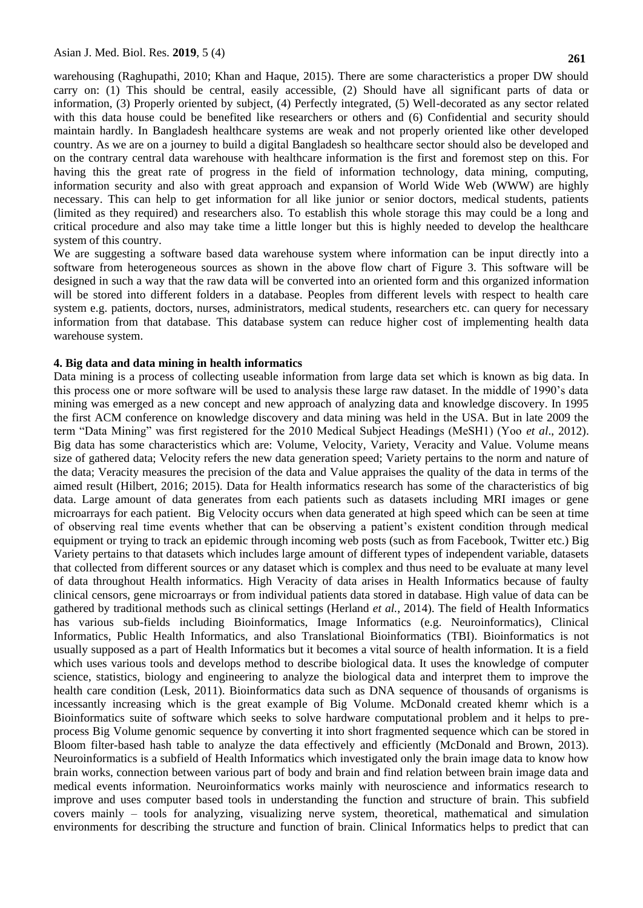warehousing (Raghupathi, 2010; Khan and Haque, 2015). There are some characteristics a proper DW should carry on: (1) This should be central, easily accessible, (2) Should have all significant parts of data or information, (3) Properly oriented by subject, (4) Perfectly integrated, (5) Well-decorated as any sector related with this data house could be benefited like researchers or others and (6) Confidential and security should maintain hardly. In Bangladesh healthcare systems are weak and not properly oriented like other developed country. As we are on a journey to build a digital Bangladesh so healthcare sector should also be developed and on the contrary central data warehouse with healthcare information is the first and foremost step on this. For having this the great rate of progress in the field of information technology, data mining, computing, information security and also with great approach and expansion of World Wide Web (WWW) are highly necessary. This can help to get information for all like junior or senior doctors, medical students, patients (limited as they required) and researchers also. To establish this whole storage this may could be a long and critical procedure and also may take time a little longer but this is highly needed to develop the healthcare system of this country.

We are suggesting a software based data warehouse system where information can be input directly into a software from heterogeneous sources as shown in the above flow chart of Figure 3. This software will be designed in such a way that the raw data will be converted into an oriented form and this organized information will be stored into different folders in a database. Peoples from different levels with respect to health care system e.g. patients, doctors, nurses, administrators, medical students, researchers etc. can query for necessary information from that database. This database system can reduce higher cost of implementing health data warehouse system.

### **4. Big data and data mining in health informatics**

Data mining is a process of collecting useable information from large data set which is known as big data. In this process one or more software will be used to analysis these large raw dataset. In the middle of 1990's data mining was emerged as a new concept and new approach of analyzing data and knowledge discovery. In 1995 the first ACM conference on knowledge discovery and data mining was held in the USA. But in late 2009 the term "Data Mining" was first registered for the 2010 Medical Subject Headings (MeSH1) (Yoo *et al*., 2012). Big data has some characteristics which are: Volume, Velocity, Variety, Veracity and Value. Volume means size of gathered data; Velocity refers the new data generation speed; Variety pertains to the norm and nature of the data; Veracity measures the precision of the data and Value appraises the quality of the data in terms of the aimed result (Hilbert, 2016; 2015). Data for Health informatics research has some of the characteristics of big data. Large amount of data generates from each patients such as datasets including MRI images or gene microarrays for each patient. Big Velocity occurs when data generated at high speed which can be seen at time of observing real time events whether that can be observing a patient's existent condition through medical equipment or trying to track an epidemic through incoming web posts (such as from Facebook, Twitter etc.) Big Variety pertains to that datasets which includes large amount of different types of independent variable, datasets that collected from different sources or any dataset which is complex and thus need to be evaluate at many level of data throughout Health informatics. High Veracity of data arises in Health Informatics because of faulty clinical censors, gene microarrays or from individual patients data stored in database. High value of data can be gathered by traditional methods such as clinical settings (Herland *et al.*, 2014). The field of Health Informatics has various sub-fields including Bioinformatics, Image Informatics (e.g. Neuroinformatics), Clinical Informatics, Public Health Informatics, and also Translational Bioinformatics (TBI). Bioinformatics is not usually supposed as a part of Health Informatics but it becomes a vital source of health information. It is a field which uses various tools and develops method to describe biological data. It uses the knowledge of computer science, statistics, biology and engineering to analyze the biological data and interpret them to improve the health care condition (Lesk, 2011). Bioinformatics data such as DNA sequence of thousands of organisms is incessantly increasing which is the great example of Big Volume. McDonald created khemr which is a Bioinformatics suite of software which seeks to solve hardware computational problem and it helps to preprocess Big Volume genomic sequence by converting it into short fragmented sequence which can be stored in Bloom filter-based hash table to analyze the data effectively and efficiently (McDonald and Brown, 2013). Neuroinformatics is a subfield of Health Informatics which investigated only the brain image data to know how brain works, connection between various part of body and brain and find relation between brain image data and medical events information. Neuroinformatics works mainly with neuroscience and informatics research to improve and uses computer based tools in understanding the function and structure of brain. This subfield covers mainly – tools for analyzing, visualizing nerve system, theoretical, mathematical and simulation environments for describing the structure and function of brain. Clinical Informatics helps to predict that can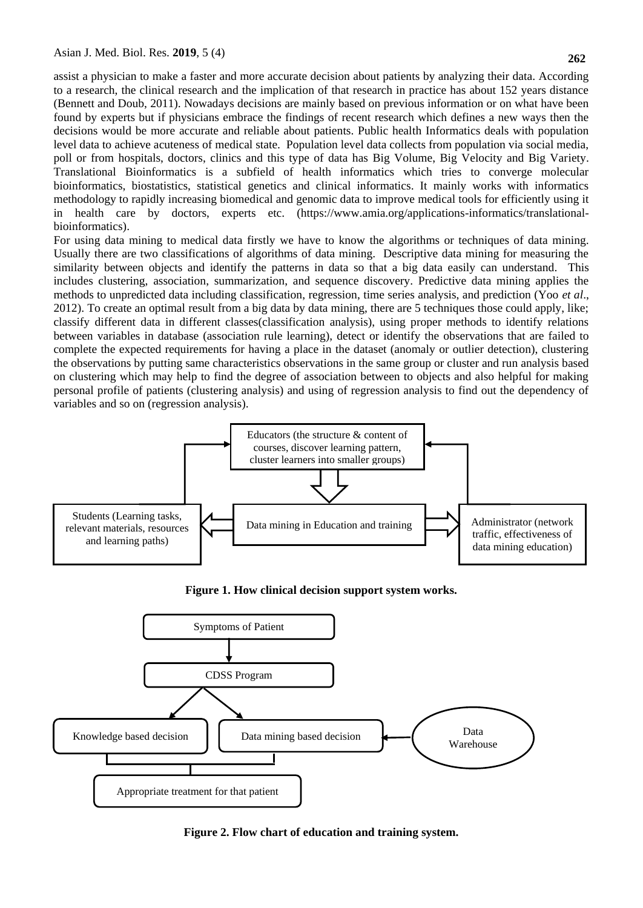assist a physician to make a faster and more accurate decision about patients by analyzing their data. According to a research, the clinical research and the implication of that research in practice has about 152 years distance (Bennett and Doub, 2011). Nowadays decisions are mainly based on previous information or on what have been found by experts but if physicians embrace the findings of recent research which defines a new ways then the decisions would be more accurate and reliable about patients. Public health Informatics deals with population level data to achieve acuteness of medical state. Population level data collects from population via social media, poll or from hospitals, doctors, clinics and this type of data has Big Volume, Big Velocity and Big Variety. Translational Bioinformatics is a subfield of health informatics which tries to converge molecular bioinformatics, biostatistics, statistical genetics and clinical informatics. It mainly works with informatics methodology to rapidly increasing biomedical and genomic data to improve medical tools for efficiently using it in health care by doctors, experts etc. (https://www.amia.org/applications-informatics/translationalbioinformatics).

For using data mining to medical data firstly we have to know the algorithms or techniques of data mining. Usually there are two classifications of algorithms of data mining. Descriptive data mining for measuring the similarity between objects and identify the patterns in data so that a big data easily can understand. This includes clustering, association, summarization, and sequence discovery. Predictive data mining applies the methods to unpredicted data including classification, regression, time series analysis, and prediction (Yoo *et al*., 2012). To create an optimal result from a big data by data mining, there are 5 techniques those could apply, like; classify different data in different classes(classification analysis), using proper methods to identify relations between variables in database (association rule learning), detect or identify the observations that are failed to complete the expected requirements for having a place in the dataset (anomaly or outlier detection), clustering the observations by putting same characteristics observations in the same group or cluster and run analysis based on clustering which may help to find the degree of association between to objects and also helpful for making personal profile of patients (clustering analysis) and using of regression analysis to find out the dependency of variables and so on (regression analysis).



**Figure 1. How clinical decision support system works.**



**Figure 2. Flow chart of education and training system.**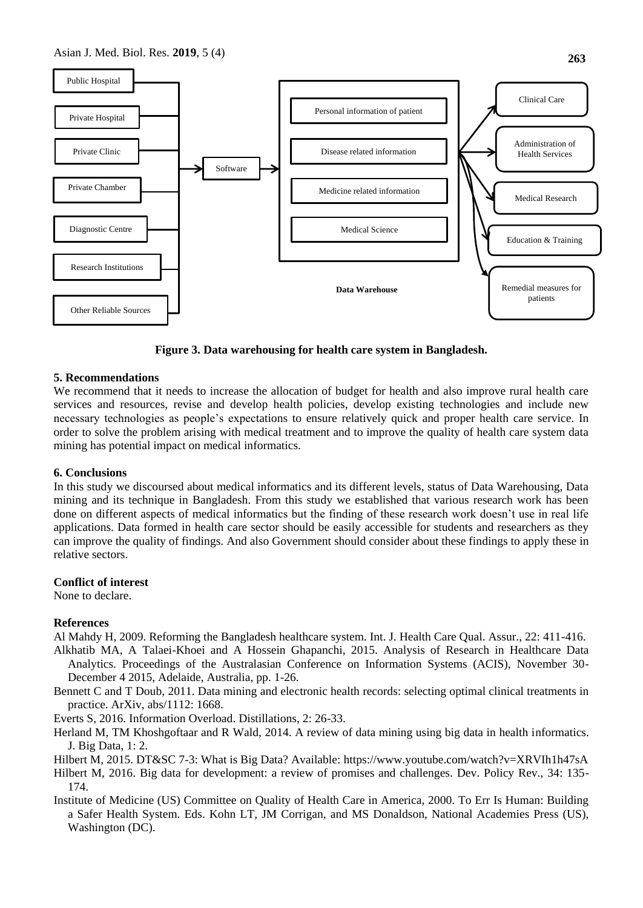

**Figure 3. Data warehousing for health care system in Bangladesh.**

# **5. Recommendations**

We recommend that it needs to increase the allocation of budget for health and also improve rural health care services and resources, revise and develop health policies, develop existing technologies and include new necessary technologies as people's expectations to ensure relatively quick and proper health care service. In order to solve the problem arising with medical treatment and to improve the quality of health care system data mining has potential impact on medical informatics.

# **6. Conclusions**

In this study we discoursed about medical informatics and its different levels, status of Data Warehousing, Data mining and its technique in Bangladesh. From this study we established that various research work has been done on different aspects of medical informatics but the finding of these research work doesn't use in real life applications. Data formed in health care sector should be easily accessible for students and researchers as they can improve the quality of findings. And also Government should consider about these findings to apply these in relative sectors.

### **Conflict of interest**

None to declare.

# **References**

Al Mahdy H, 2009. Reforming the Bangladesh healthcare system. Int. J. Health Care Qual. Assur., 22: 411-416.

- Alkhatib MA, A Talaei-Khoei and A Hossein Ghapanchi, 2015. Analysis of Research in Healthcare Data Analytics. Proceedings of the Australasian Conference on Information Systems (ACIS), November 30- December 4 2015, Adelaide, Australia, pp. 1-26.
- Bennett C and T Doub, 2011. Data mining and electronic health records: selecting optimal clinical treatments in practice. ArXiv, abs/1112: 1668.

Everts S, 2016. Information Overload. Distillations, 2: 26-33.

Herland M, TM Khoshgoftaar and R Wald, 2014. A review of data mining using big data in health informatics. J. Big Data, 1: 2.

Hilbert M, 2015. DT&SC 7-3: What is Big Data? Available:<https://www.youtube.com/watch?v=XRVIh1h47sA>

- Hilbert M, 2016. Big data for development: a review of promises and challenges. Dev. Policy Rev., 34: 135- 174.
- Institute of Medicine (US) Committee on Quality of Health Care in America, 2000. To Err Is Human: Building a Safer Health System. Eds. Kohn LT, JM Corrigan, and MS Donaldson, National Academies Press (US), Washington (DC).